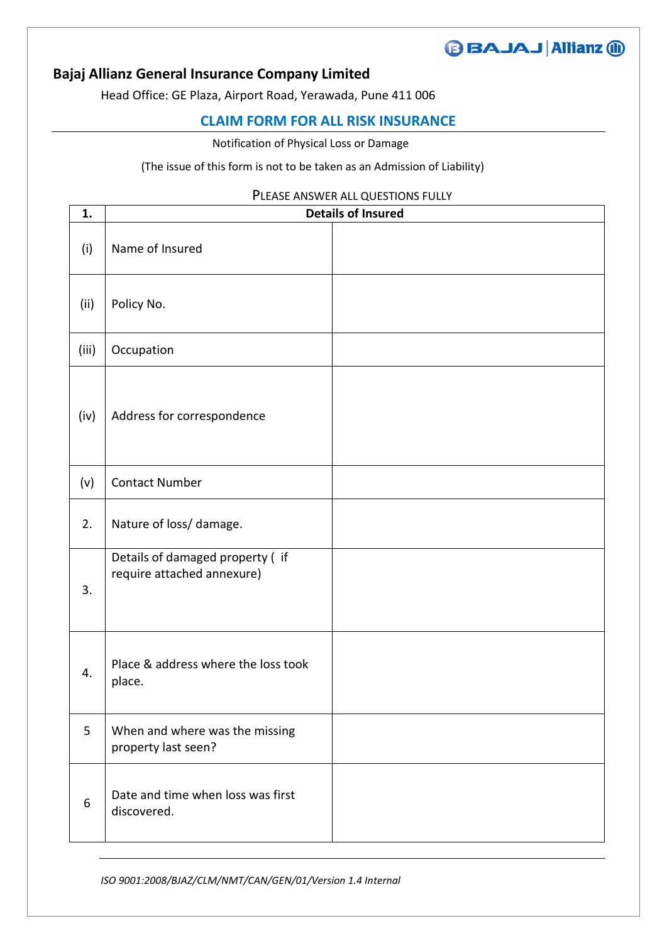## **BAJAJ Allianz @ Bajaj Allianz General Insurance Company Limited**

Head Office: GE Plaza, Airport Road, Yerawada, Pune 411 006

## **CLAIM FORM FOR ALL RISK INSURANCE**

Notification of Physical Loss or Damage

## (The issue of this form is not to be taken as an Admission of Liability)

## PLEASE ANSWER ALL QUESTIONS FULLY

| 1.    | <b>Details of Insured</b>                                     |  |
|-------|---------------------------------------------------------------|--|
| (i)   | Name of Insured                                               |  |
| (ii)  | Policy No.                                                    |  |
| (iii) | Occupation                                                    |  |
| (iv)  | Address for correspondence                                    |  |
| (v)   | <b>Contact Number</b>                                         |  |
| 2.    | Nature of loss/ damage.                                       |  |
| 3.    | Details of damaged property (if<br>require attached annexure) |  |
| 4.    | Place & address where the loss took<br>place.                 |  |
| 5     | When and where was the missing<br>property last seen?         |  |
| 6     | Date and time when loss was first<br>discovered.              |  |

*ISO 9001:2008/BJAZ/CLM/NMT/CAN/GEN/01/Version 1.4 Internal*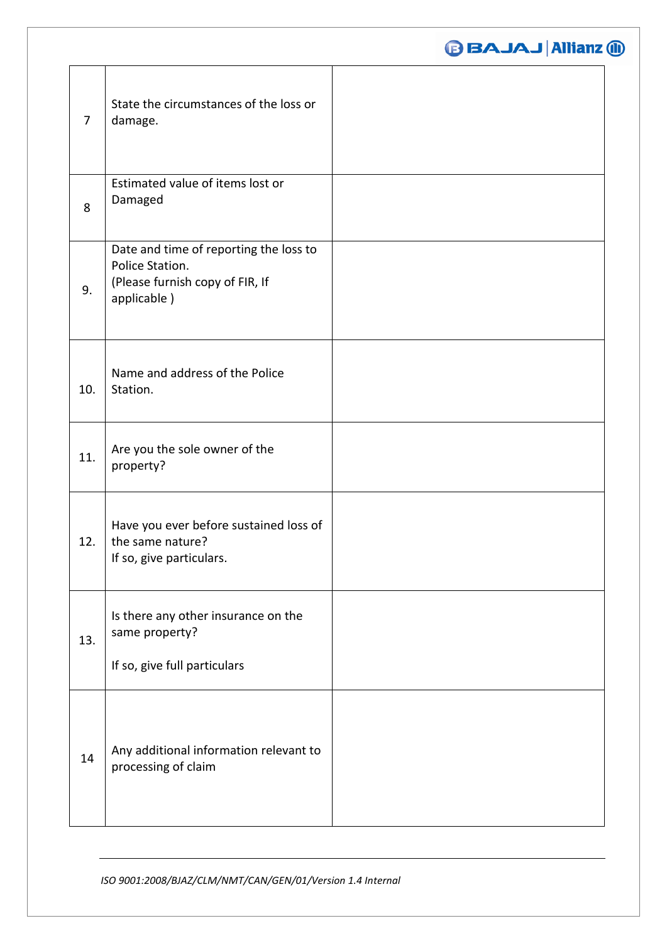|                |                                                                                                             | <b>BAJAJ Allianz 10</b> |
|----------------|-------------------------------------------------------------------------------------------------------------|-------------------------|
| $\overline{7}$ | State the circumstances of the loss or<br>damage.                                                           |                         |
| 8              | Estimated value of items lost or<br>Damaged                                                                 |                         |
| 9.             | Date and time of reporting the loss to<br>Police Station.<br>(Please furnish copy of FIR, If<br>applicable) |                         |
| 10.            | Name and address of the Police<br>Station.                                                                  |                         |
| 11.            | Are you the sole owner of the<br>property?                                                                  |                         |
| 12.            | Have you ever before sustained loss of<br>the same nature?<br>If so, give particulars.                      |                         |
| 13.            | Is there any other insurance on the<br>same property?<br>If so, give full particulars                       |                         |
| 14             | Any additional information relevant to<br>processing of claim                                               |                         |